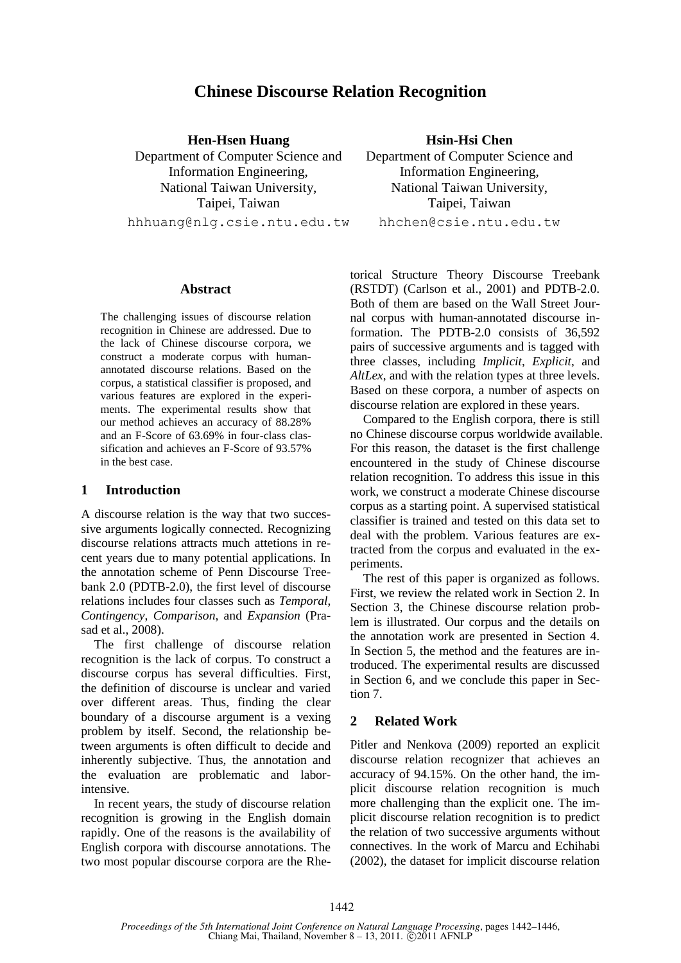# **Chinese Discourse Relation Recognition**

**Hen-Hsen Huang** Department of Computer Science and Information Engineering, National Taiwan University, Taipei, Taiwan

hhhuang@nlg.csie.ntu.edu.tw

### **Abstract**

The challenging issues of discourse relation recognition in Chinese are addressed. Due to the lack of Chinese discourse corpora, we construct a moderate corpus with humanannotated discourse relations. Based on the corpus, a statistical classifier is proposed, and various features are explored in the experiments. The experimental results show that our method achieves an accuracy of 88.28% and an F-Score of 63.69% in four-class classification and achieves an F-Score of 93.57% in the best case.

#### **1 Introduction**

A discourse relation is the way that two successive arguments logically connected. Recognizing discourse relations attracts much attetions in recent years due to many potential applications. In the annotation scheme of Penn Discourse Treebank 2.0 (PDTB-2.0), the first level of discourse relations includes four classes such as *Temporal*, *Contingency*, *Comparison*, and *Expansion* (Prasad et al., 2008).

The first challenge of discourse relation recognition is the lack of corpus. To construct a discourse corpus has several difficulties. First, the definition of discourse is unclear and varied over different areas. Thus, finding the clear boundary of a discourse argument is a vexing problem by itself. Second, the relationship between arguments is often difficult to decide and inherently subjective. Thus, the annotation and the evaluation are problematic and laborintensive.

In recent years, the study of discourse relation recognition is growing in the English domain rapidly. One of the reasons is the availability of English corpora with discourse annotations. The two most popular discourse corpora are the Rhe-

**Hsin-Hsi Chen** Department of Computer Science and Information Engineering, National Taiwan University, Taipei, Taiwan hhchen@csie.ntu.edu.tw

torical Structure Theory Discourse Treebank (RSTDT) (Carlson et al., 2001) and PDTB-2.0. Both of them are based on the Wall Street Journal corpus with human-annotated discourse information. The PDTB-2.0 consists of 36,592 pairs of successive arguments and is tagged with three classes, including *Implicit*, *Explicit*, and *AltLex*, and with the relation types at three levels. Based on these corpora, a number of aspects on discourse relation are explored in these years.

Compared to the English corpora, there is still no Chinese discourse corpus worldwide available. For this reason, the dataset is the first challenge encountered in the study of Chinese discourse relation recognition. To address this issue in this work, we construct a moderate Chinese discourse corpus as a starting point. A supervised statistical classifier is trained and tested on this data set to deal with the problem. Various features are extracted from the corpus and evaluated in the experiments.

The rest of this paper is organized as follows. First, we review the related work in Section 2. In Section 3, the Chinese discourse relation problem is illustrated. Our corpus and the details on the annotation work are presented in Section 4. In Section 5, the method and the features are introduced. The experimental results are discussed in Section 6, and we conclude this paper in Section 7.

### **2 Related Work**

Pitler and Nenkova (2009) reported an explicit discourse relation recognizer that achieves an accuracy of 94.15%. On the other hand, the implicit discourse relation recognition is much more challenging than the explicit one. The implicit discourse relation recognition is to predict the relation of two successive arguments without connectives. In the work of Marcu and Echihabi (2002), the dataset for implicit discourse relation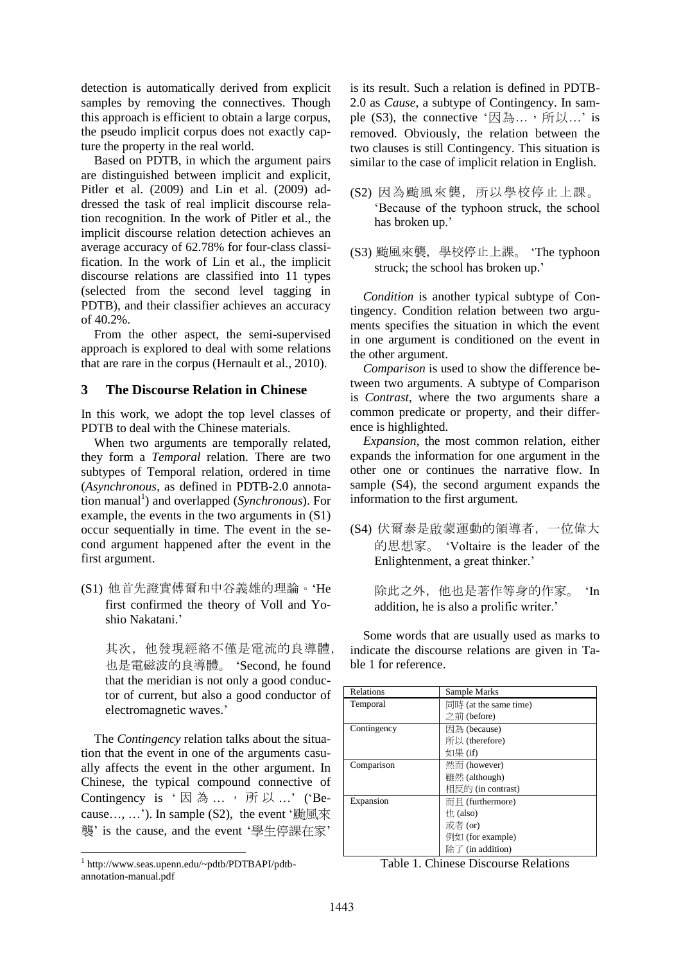detection is automatically derived from explicit samples by removing the connectives. Though this approach is efficient to obtain a large corpus, the pseudo implicit corpus does not exactly capture the property in the real world.

Based on PDTB, in which the argument pairs are distinguished between implicit and explicit, Pitler et al. (2009) and Lin et al. (2009) addressed the task of real implicit discourse relation recognition. In the work of Pitler et al., the implicit discourse relation detection achieves an average accuracy of 62.78% for four-class classification. In the work of Lin et al., the implicit discourse relations are classified into 11 types (selected from the second level tagging in PDTB), and their classifier achieves an accuracy of 40.2%.

From the other aspect, the semi-supervised approach is explored to deal with some relations that are rare in the corpus (Hernault et al., 2010).

## **3 The Discourse Relation in Chinese**

In this work, we adopt the top level classes of PDTB to deal with the Chinese materials.

When two arguments are temporally related, they form a *Temporal* relation. There are two subtypes of Temporal relation, ordered in time (*Asynchronous,* as defined in PDTB-2.0 annotation manual 1 ) and overlapped (*Synchronous*). For example, the events in the two arguments in (S1) occur sequentially in time. The event in the second argument happened after the event in the first argument.

(S1) 他首先證實傅爾和中谷義雄的理論。"He first confirmed the theory of Voll and Yoshio Nakatani.'

其次,他發現經絡不僅是電流的良導體, 也是電磁波的良導體。 "Second, he found that the meridian is not only a good conductor of current, but also a good conductor of electromagnetic waves."

The *Contingency* relation talks about the situation that the event in one of the arguments casually affects the event in the other argument. In Chinese, the typical compound connective of Contingency is '因為 ..., 所以 ...' ('Because…, …'). In sample  $(S2)$ , the event '颱風來 襲" is the cause, and the event "學生停課在家"

is its result. Such a relation is defined in PDTB-2.0 as *Cause*, a subtype of Contingency. In sample  $(S3)$ , the connective '因為…,所以…' is removed. Obviously, the relation between the two clauses is still Contingency. This situation is similar to the case of implicit relation in English.

- (S2) 因為颱風來襲, 所以學校停止上課。 "Because of the typhoon struck, the school has broken up.'
- (S3) 颱風來襲,學校停止上課。 "The typhoon struck; the school has broken up."

*Condition* is another typical subtype of Contingency. Condition relation between two arguments specifies the situation in which the event in one argument is conditioned on the event in the other argument.

*Comparison* is used to show the difference between two arguments. A subtype of Comparison is *Contrast*, where the two arguments share a common predicate or property, and their difference is highlighted.

*Expansion*, the most common relation, either expands the information for one argument in the other one or continues the narrative flow. In sample (S4), the second argument expands the information to the first argument.

(S4) 伏爾泰是啟蒙運動的領導者,一位偉大 的思想家。 "Voltaire is the leader of the Enlightenment, a great thinker.'

> 除此之外,他也是著作等身的作家。 "In addition, he is also a prolific writer.'

Some words that are usually used as marks to indicate the discourse relations are given in Table 1 for reference.

| Relations   | Sample Marks                                     |  |  |
|-------------|--------------------------------------------------|--|--|
| Temporal    | $\Box$ II $\ddot{\mathbf{F}}$ (at the same time) |  |  |
|             | 之前 (before)                                      |  |  |
| Contingency | 因為 (because)                                     |  |  |
|             | 所以 (therefore)                                   |  |  |
|             | 如果 (if)                                          |  |  |
| Comparison  | 然而 (however)                                     |  |  |
|             | 雖然 (although)                                    |  |  |
|             | 相反的 (in contrast)                                |  |  |
| Expansion   | $\overline{m}$ $\underline{H}$ (furthermore)     |  |  |
|             | $\#$ (also)                                      |  |  |
|             | 或者 (or)                                          |  |  |
|             | 例如 (for example)                                 |  |  |
|             | 除了 (in addition)                                 |  |  |

Table 1. Chinese Discourse Relations

 1 http://www.seas.upenn.edu/~pdtb/PDTBAPI/pdtbannotation-manual.pdf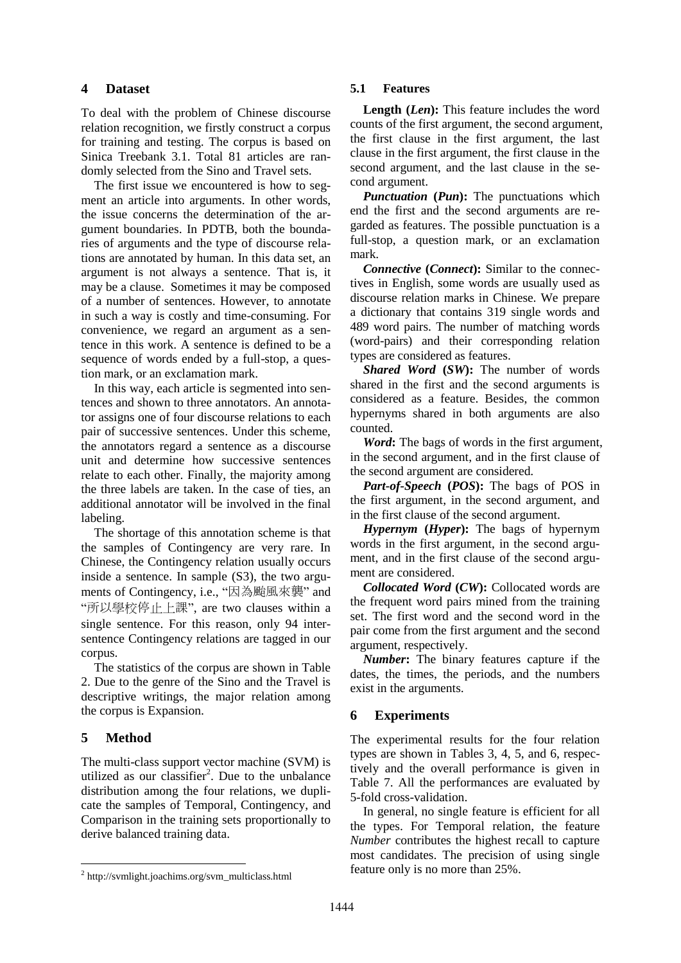## **4 Dataset**

To deal with the problem of Chinese discourse relation recognition, we firstly construct a corpus for training and testing. The corpus is based on Sinica Treebank 3.1. Total 81 articles are randomly selected from the Sino and Travel sets.

The first issue we encountered is how to segment an article into arguments. In other words, the issue concerns the determination of the argument boundaries. In PDTB, both the boundaries of arguments and the type of discourse relations are annotated by human. In this data set, an argument is not always a sentence. That is, it may be a clause. Sometimes it may be composed of a number of sentences. However, to annotate in such a way is costly and time-consuming. For convenience, we regard an argument as a sentence in this work. A sentence is defined to be a sequence of words ended by a full-stop, a question mark, or an exclamation mark.

In this way, each article is segmented into sentences and shown to three annotators. An annotator assigns one of four discourse relations to each pair of successive sentences. Under this scheme, the annotators regard a sentence as a discourse unit and determine how successive sentences relate to each other. Finally, the majority among the three labels are taken. In the case of ties, an additional annotator will be involved in the final labeling.

The shortage of this annotation scheme is that the samples of Contingency are very rare. In Chinese, the Contingency relation usually occurs inside a sentence. In sample (S3), the two arguments of Contingency, i.e., "因為颱風來襲" and "所以學校停止上課", are two clauses within a single sentence. For this reason, only 94 intersentence Contingency relations are tagged in our corpus.

The statistics of the corpus are shown in Table 2. Due to the genre of the Sino and the Travel is descriptive writings, the major relation among the corpus is Expansion.

# **5 Method**

The multi-class support vector machine (SVM) is utilized as our classifier<sup>2</sup>. Due to the unbalance distribution among the four relations, we duplicate the samples of Temporal, Contingency, and Comparison in the training sets proportionally to derive balanced training data.

## **5.1 Features**

**Length (***Len***):** This feature includes the word counts of the first argument, the second argument, the first clause in the first argument, the last clause in the first argument, the first clause in the second argument, and the last clause in the second argument.

*Punctuation* **(***Pun***):** The punctuations which end the first and the second arguments are regarded as features. The possible punctuation is a full-stop, a question mark, or an exclamation mark.

*Connective* **(***Connect***):** Similar to the connectives in English, some words are usually used as discourse relation marks in Chinese. We prepare a dictionary that contains 319 single words and 489 word pairs. The number of matching words (word-pairs) and their corresponding relation types are considered as features.

*Shared Word* **(***SW***):** The number of words shared in the first and the second arguments is considered as a feature. Besides, the common hypernyms shared in both arguments are also counted.

*Word***:** The bags of words in the first argument, in the second argument, and in the first clause of the second argument are considered.

*Part-of-Speech* **(***POS***):** The bags of POS in the first argument, in the second argument, and in the first clause of the second argument.

*Hypernym* **(***Hyper***):** The bags of hypernym words in the first argument, in the second argument, and in the first clause of the second argument are considered.

*Collocated Word* **(***CW***):** Collocated words are the frequent word pairs mined from the training set. The first word and the second word in the pair come from the first argument and the second argument, respectively.

*Number***:** The binary features capture if the dates, the times, the periods, and the numbers exist in the arguments.

# **6 Experiments**

The experimental results for the four relation types are shown in Tables 3, 4, 5, and 6, respectively and the overall performance is given in Table 7. All the performances are evaluated by 5-fold cross-validation.

In general, no single feature is efficient for all the types. For Temporal relation, the feature *Number* contributes the highest recall to capture most candidates. The precision of using single feature only is no more than 25%.

<sup>&</sup>lt;sup>2</sup> http://svmlight.joachims.org/svm\_multiclass.html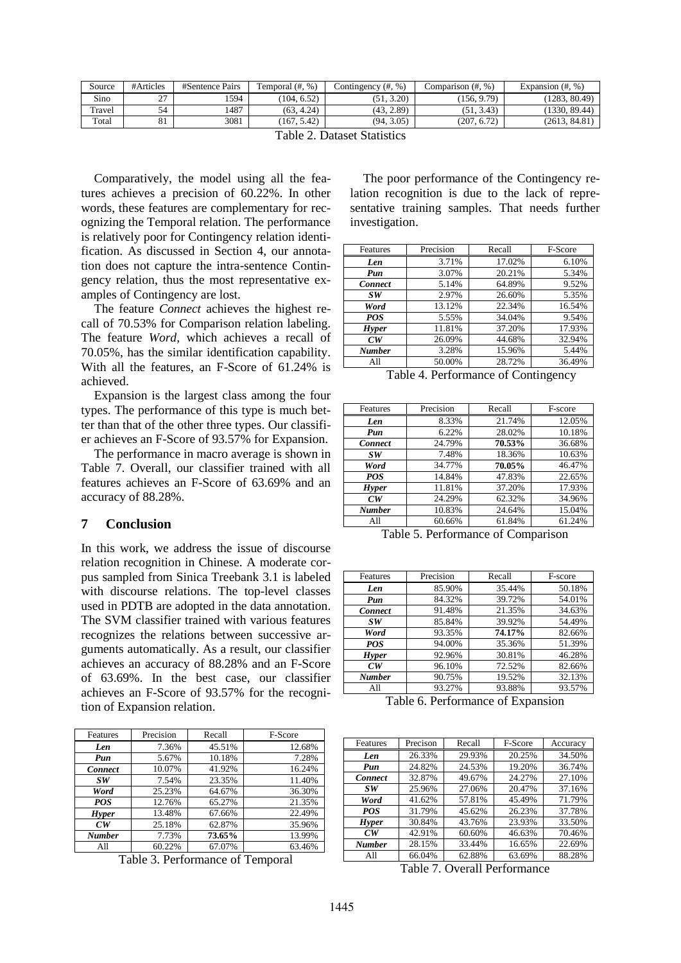| Source | #Articles                    | #Sentence Pairs | Temporal $(\#$ , %) | Contingency (#, %)     | Comparison (#, %) | Expansion $(\#$ , %) |
|--------|------------------------------|-----------------|---------------------|------------------------|-------------------|----------------------|
| Sino   | $\sim$<br><u>.</u>           | 1594            | (104, 6.52)         | $3.20^{\circ}$<br>′< 1 | (156, 9.79)       | (1283, 80.49)        |
| Travel | 54                           | 1487            | (63, 4.24)          | (43, 2.89)             | (51, 3.43)        | (1330, 89.44)        |
| Total  | O <sub>1</sub><br>$^{\circ}$ | 3081            | (167, 5.42)         | (94, 3.05)             | (207, 6.72)       | (2613, 84.81)        |

Table 2. Dataset Statistics

Comparatively, the model using all the features achieves a precision of 60.22%. In other words, these features are complementary for recognizing the Temporal relation. The performance is relatively poor for Contingency relation identification. As discussed in Section 4, our annotation does not capture the intra-sentence Contingency relation, thus the most representative examples of Contingency are lost.

The feature *Connect* achieves the highest recall of 70.53% for Comparison relation labeling. The feature *Word*, which achieves a recall of 70.05%, has the similar identification capability. With all the features, an F-Score of 61.24% is achieved.

Expansion is the largest class among the four types. The performance of this type is much better than that of the other three types. Our classifier achieves an F-Score of 93.57% for Expansion.

The performance in macro average is shown in Table 7. Overall, our classifier trained with all features achieves an F-Score of 63.69% and an accuracy of 88.28%.

## **7 Conclusion**

In this work, we address the issue of discourse relation recognition in Chinese. A moderate corpus sampled from Sinica Treebank 3.1 is labeled with discourse relations. The top-level classes used in PDTB are adopted in the data annotation. The SVM classifier trained with various features recognizes the relations between successive arguments automatically. As a result, our classifier achieves an accuracy of 88.28% and an F-Score of 63.69%. In the best case, our classifier achieves an F-Score of 93.57% for the recognition of Expansion relation.

| Features       | Precision | Recall | F-Score |
|----------------|-----------|--------|---------|
| Len            | 7.36%     | 45.51% | 12.68%  |
| Pun            | 5.67%     | 10.18% | 7.28%   |
| <b>Connect</b> | 10.07%    | 41.92% | 16.24%  |
| SW             | 7.54%     | 23.35% | 11.40%  |
| Word           | 25.23%    | 64.67% | 36.30%  |
| <b>POS</b>     | 12.76%    | 65.27% | 21.35%  |
| <b>Hyper</b>   | 13.48%    | 67.66% | 22.49%  |
| CW             | 25.18%    | 62.87% | 35.96%  |
| <b>Number</b>  | 7.73%     | 73.65% | 13.99%  |
| All            | 60.22%    | 67.07% | 63.46%  |

Table 3. Performance of Temporal

The poor performance of the Contingency relation recognition is due to the lack of representative training samples. That needs further investigation.

| Features       | Precision | Recall | F-Score |
|----------------|-----------|--------|---------|
| Len            | 3.71%     | 17.02% | 6.10%   |
| Pun            | 3.07%     | 20.21% | 5.34%   |
| <b>Connect</b> | 5.14%     | 64.89% | 9.52%   |
| SW <sub></sub> | 2.97%     | 26.60% | 5.35%   |
| Word           | 13.12%    | 22.34% | 16.54%  |
| POS            | 5.55%     | 34.04% | 9.54%   |
| <b>Hyper</b>   | 11.81%    | 37.20% | 17.93%  |
| $\sqrt{C}W$    | 26.09%    | 44.68% | 32.94%  |
| <b>Number</b>  | 3.28%     | 15.96% | 5.44%   |
| All            | 50.00%    | 28.72% | 36.49%  |

Table 4. Performance of Contingency

| Features       | Precision | Recall | F-score |
|----------------|-----------|--------|---------|
| Len            | 8.33%     | 21.74% | 12.05%  |
| Pun            | 6.22%     | 28.02% | 10.18%  |
| <b>Connect</b> | 24.79%    | 70.53% | 36.68%  |
| SW             | 7.48%     | 18.36% | 10.63%  |
| Word           | 34.77%    | 70.05% | 46.47%  |
| <b>POS</b>     | 14.84%    | 47.83% | 22.65%  |
| <b>Hyper</b>   | 11.81%    | 37.20% | 17.93%  |
| CW             | 24.29%    | 62.32% | 34.96%  |
| <b>Number</b>  | 10.83%    | 24.64% | 15.04%  |
| A11            | 60.66%    | 61.84% | 61.24%  |

Table 5. Performance of Comparison

| Features       | Precision | Recall | F-score |
|----------------|-----------|--------|---------|
| Len            | 85.90%    | 35.44% | 50.18%  |
| Pun            | 84.32%    | 39.72% | 54.01%  |
| <b>Connect</b> | 91.48%    | 21.35% | 34.63%  |
| SW.            | 85.84%    | 39.92% | 54.49%  |
| Word           | 93.35%    | 74.17% | 82.66%  |
| <b>POS</b>     | 94.00%    | 35.36% | 51.39%  |
| <b>Hyper</b>   | 92.96%    | 30.81% | 46.28%  |
| CW             | 96.10%    | 72.52% | 82.66%  |
| <b>Number</b>  | 90.75%    | 19.52% | 32.13%  |
| A11            | 93.27%    | 93.88% | 93.57%  |

Table 6. Performance of Expansion

| Features       | Precison | Recall | F-Score | Accuracy |
|----------------|----------|--------|---------|----------|
| Len            | 26.33%   | 29.93% | 20.25%  | 34.50%   |
| Pun            | 24.82%   | 24.53% | 19.20%  | 36.74%   |
| <b>Connect</b> | 32.87%   | 49.67% | 24.27%  | 27.10%   |
| SW             | 25.96%   | 27.06% | 20.47%  | 37.16%   |
| Word           | 41.62%   | 57.81% | 45.49%  | 71.79%   |
| <b>POS</b>     | 31.79%   | 45.62% | 26.23%  | 37.78%   |
| <b>Hyper</b>   | 30.84%   | 43.76% | 23.93%  | 33.50%   |
| CW             | 42.91%   | 60.60% | 46.63%  | 70.46%   |
| <b>Number</b>  | 28.15%   | 33.44% | 16.65%  | 22.69%   |
| All            | 66.04%   | 62.88% | 63.69%  | 88.28%   |

Table 7. Overall Performance